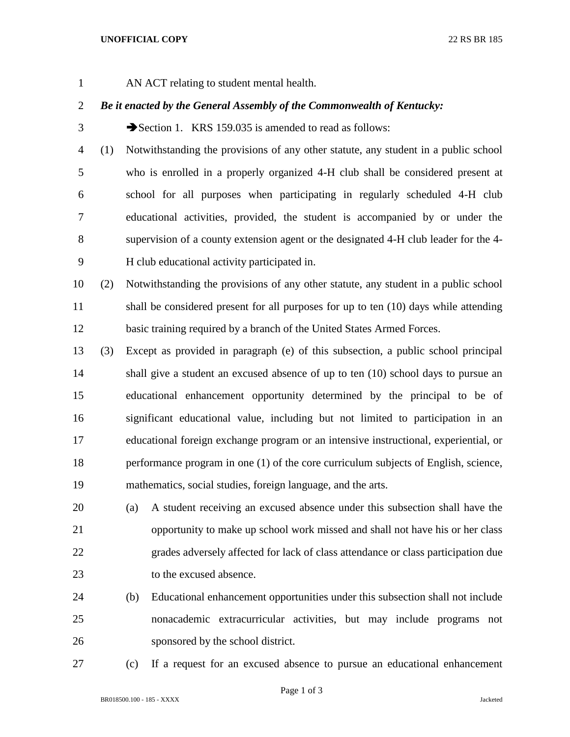- 
- AN ACT relating to student mental health.

## *Be it enacted by the General Assembly of the Commonwealth of Kentucky:*

3 Section 1. KRS 159.035 is amended to read as follows:

- (1) Notwithstanding the provisions of any other statute, any student in a public school who is enrolled in a properly organized 4-H club shall be considered present at school for all purposes when participating in regularly scheduled 4-H club educational activities, provided, the student is accompanied by or under the supervision of a county extension agent or the designated 4-H club leader for the 4- H club educational activity participated in.
- (2) Notwithstanding the provisions of any other statute, any student in a public school 11 shall be considered present for all purposes for up to ten (10) days while attending basic training required by a branch of the United States Armed Forces.
- (3) Except as provided in paragraph (e) of this subsection, a public school principal shall give a student an excused absence of up to ten (10) school days to pursue an educational enhancement opportunity determined by the principal to be of significant educational value, including but not limited to participation in an educational foreign exchange program or an intensive instructional, experiential, or performance program in one (1) of the core curriculum subjects of English, science, mathematics, social studies, foreign language, and the arts.
- (a) A student receiving an excused absence under this subsection shall have the opportunity to make up school work missed and shall not have his or her class grades adversely affected for lack of class attendance or class participation due to the excused absence.
- (b) Educational enhancement opportunities under this subsection shall not include nonacademic extracurricular activities, but may include programs not sponsored by the school district.
- 

(c) If a request for an excused absence to pursue an educational enhancement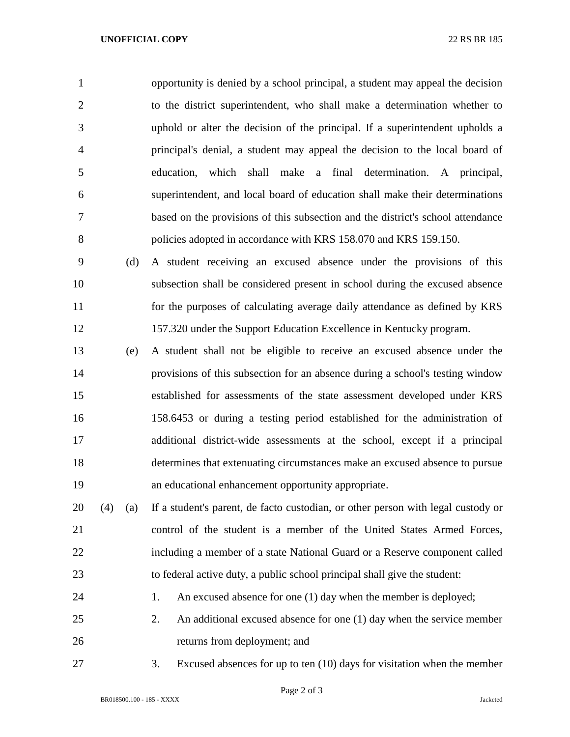opportunity is denied by a school principal, a student may appeal the decision to the district superintendent, who shall make a determination whether to uphold or alter the decision of the principal. If a superintendent upholds a principal's denial, a student may appeal the decision to the local board of education, which shall make a final determination. A principal, superintendent, and local board of education shall make their determinations based on the provisions of this subsection and the district's school attendance policies adopted in accordance with KRS 158.070 and KRS 159.150.

 (d) A student receiving an excused absence under the provisions of this subsection shall be considered present in school during the excused absence for the purposes of calculating average daily attendance as defined by KRS 157.320 under the Support Education Excellence in Kentucky program.

 (e) A student shall not be eligible to receive an excused absence under the provisions of this subsection for an absence during a school's testing window established for assessments of the state assessment developed under KRS 158.6453 or during a testing period established for the administration of additional district-wide assessments at the school, except if a principal determines that extenuating circumstances make an excused absence to pursue an educational enhancement opportunity appropriate.

 (4) (a) If a student's parent, de facto custodian, or other person with legal custody or control of the student is a member of the United States Armed Forces, including a member of a state National Guard or a Reserve component called to federal active duty, a public school principal shall give the student:

24 1. An excused absence for one (1) day when the member is deployed;

 2. An additional excused absence for one (1) day when the service member returns from deployment; and

3. Excused absences for up to ten (10) days for visitation when the member